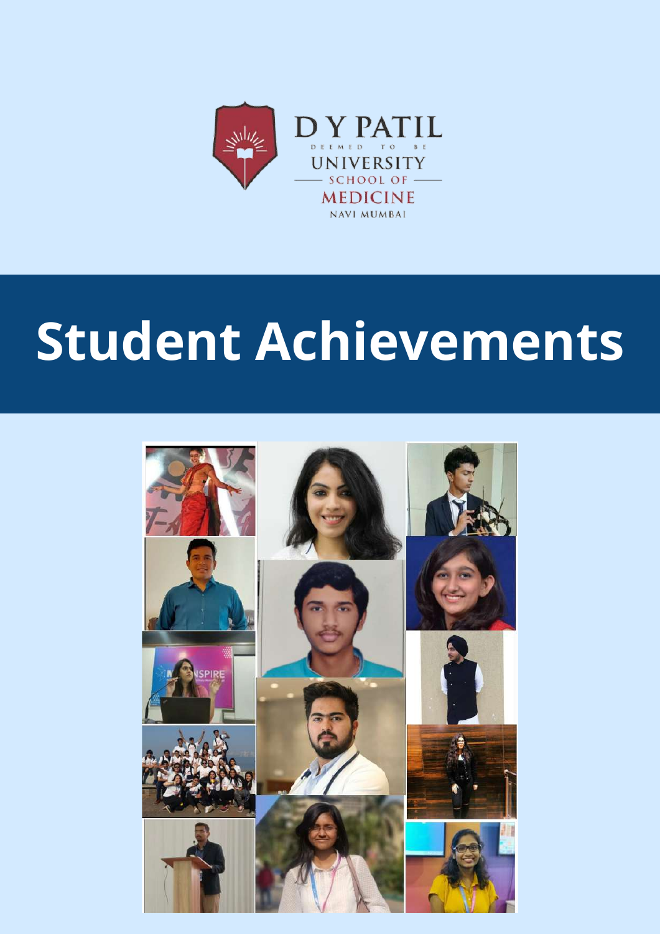

# **Student Achievements**

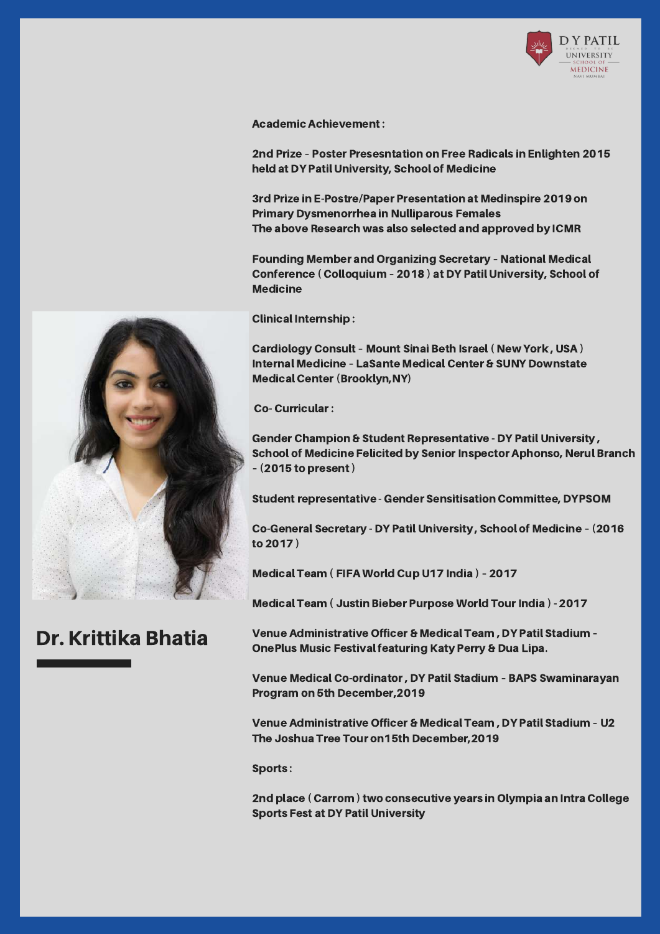

Academic Achievement:

2nd Prize – Poster Presesntation on Free Radicals in Enlighten 2015 held at DY Patil University, School of Medicine

3rd Prize in E-Postre/Paper Presentation at Medinspire 2019 on Primary Dysmenorrhea in Nulliparous Females The above Research was also selected and approved by ICMR

Founding Member and Organizing Secretary – National Medical Conference ( Colloquium – 2018 ) at DY Patil University, School of **Medicine** 

Clinical Internship :

Cardiology Consult – Mount Sinai Beth Israel( New York , USA ) Internal Medicine – LaSante Medical Center & SUNY Downstate **Medical Center (Brooklyn, NY)** 

Co- Curricular:

Gender Champion & Student Representative - DY Patil University , School of Medicine Felicited by Senior Inspector Aphonso, Nerul Branch – (2015 to present)

Student representative - Gender Sensitisation Committee, DYPSOM

Co-General Secretary - DY Patil University , School of Medicine – (2016 to 2017 )

Medical Team ( FIFA World Cup U17 India ) – 2017

Medical Team ( Justin Bieber Purpose World Tour India ) - 2017

Venue Administrative Officer & Medical Team , DY Patil Stadium – OnePlus Music Festival featuring Katy Perry & Dua Lipa.

Venue Medical Co-ordinator, DY Patil Stadium – BAPS Swaminarayan Program on 5th December,2019

Venue Administrative Officer & Medical Team , DY Patil Stadium – U2 The Joshua Tree Tour on15th December,2019

Sports :

2nd place (Carrom) two consecutive years in Olympia an Intra College Sports Fest at DY Patil University



#### Dr. Krittika Bhatia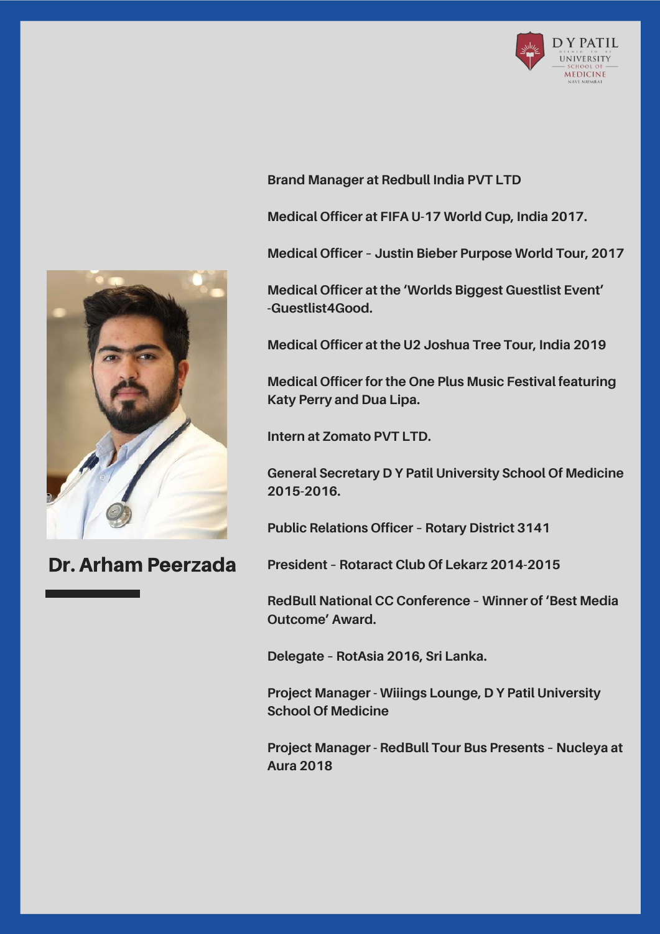



Dr. Arham Peerzada

**Brand Manager at Redbull India PVT LTD**

**Medical Officer at FIFA U-17 World Cup, India 2017.**

**Medical Officer – Justin Bieber Purpose World Tour, 2017**

**Medical Officer at the 'Worlds Biggest Guestlist Event' -Guestlist4Good.**

**Medical Officer at the U2 Joshua Tree Tour, India 2019**

**Medical Officer for the One Plus Music Festival featuring Katy Perry and Dua Lipa.**

**Intern at Zomato PVT LTD.**

**General Secretary D Y Patil University School Of Medicine 2015-2016.**

**Public Relations Officer – Rotary District 3141**

**President – Rotaract Club Of Lekarz 2014-2015**

**RedBull National CC Conference – Winner of 'Best Media Outcome' Award.**

**Delegate – RotAsia 2016, Sri Lanka.**

**Project Manager - Wiiings Lounge, D Y Patil University School Of Medicine**

**Project Manager - RedBull Tour Bus Presents – Nucleya at Aura 2018**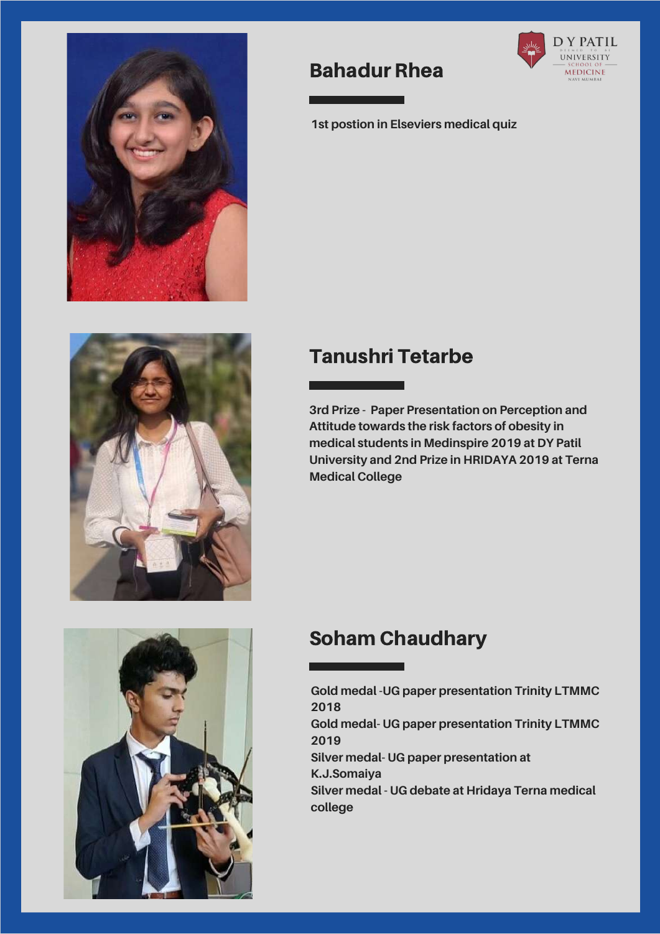





### Bahadur Rhea



**1st postion in Elseviers medical quiz**

## Tanushri Tetarbe

**3rd Prize - Paper Presentation on Perception and Attitude towards the risk factors of obesity in medical students in Medinspire 2019 at DY Patil University and 2nd Prize in HRIDAYA 2019 at Terna Medical College**

## Soham Chaudhary

**Gold medal -UG paper presentation Trinity LTMMC 2018 Gold medal- UG paper presentation Trinity LTMMC 2019 Silver medal- UG paper presentation at K.J.Somaiya Silver medal - UG debate at Hridaya Terna medical college**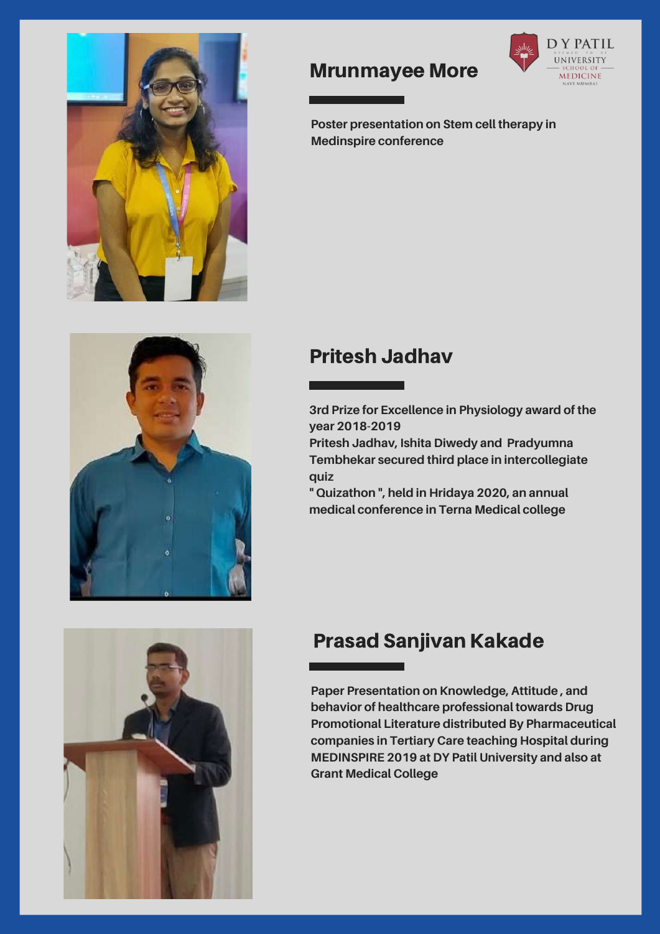



#### Mrunmayee More



**Poster presentation on Stem cell therapy in Medinspire conference**

### Pritesh Jadhav

**3rd Prize for Excellence in Physiology award of the year 2018-2019**

**Pritesh Jadhav, Ishita Diwedy and Pradyumna Tembhekar secured third place in intercollegiate quiz**

**" Quizathon ", held in Hridaya 2020, an annual medical conference in Terna Medical college**



## Prasad Sanjivan Kakade

**Paper Presentation on Knowledge, Attitude , and behavior of healthcare professional towards Drug Promotional Literature distributed By Pharmaceutical companies in Tertiary Care teaching Hospital during MEDINSPIRE 2019 at DY Patil University and also at Grant Medical College**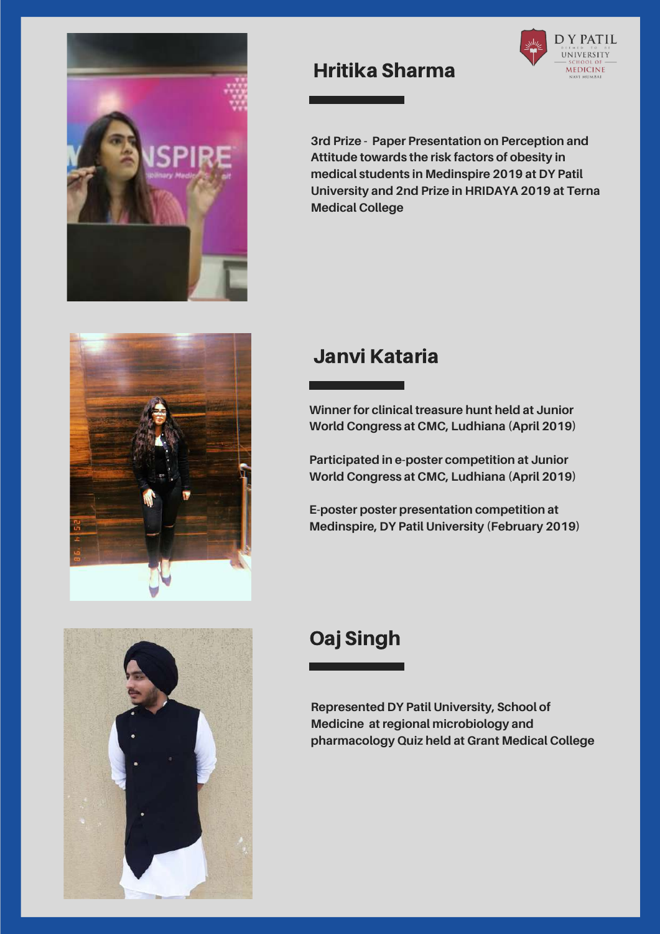





#### Hritika Sharma



#### Janvi Kataria

**Winner for clinical treasure hunt held at Junior World Congress at CMC, Ludhiana (April 2019)**

**Participated in e-poster competition at Junior World Congress at CMC, Ludhiana (April 2019)**

**E-poster poster presentation competition at Medinspire, DY Patil University (February 2019)**

## Oaj Singh

**Represented DY Patil University, School of Medicine at regional microbiology and pharmacology Quiz held at Grant Medical College**

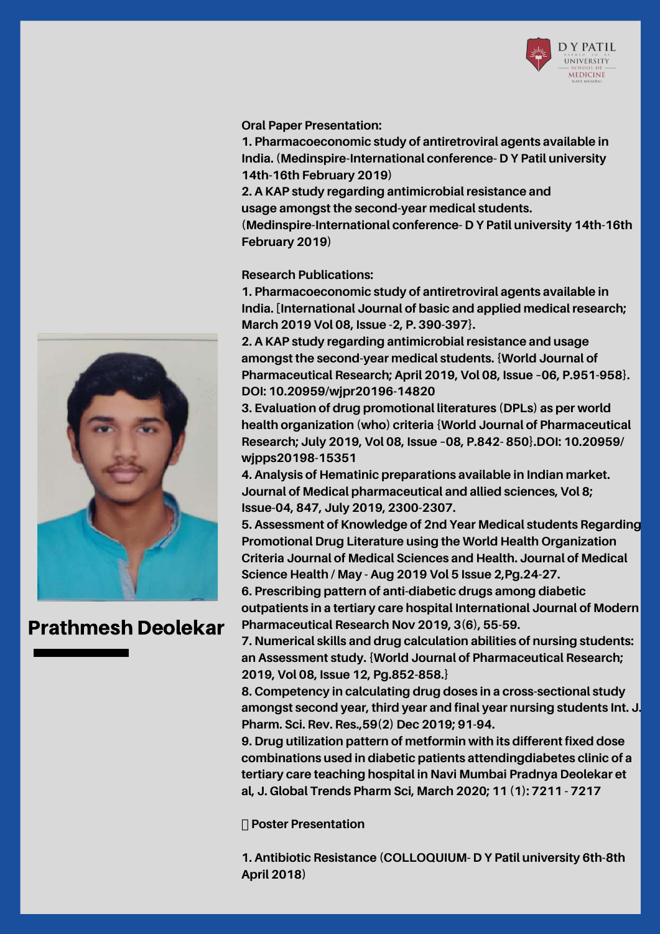

#### **Oral Paper Presentation:**

**1. Pharmacoeconomic study of antiretroviral agents available in India. (Medinspire-International conference- D Y Patil university 14th-16th February 2019)**

**2. A KAP study regarding antimicrobial resistance and usage amongst the second-year medical students. (Medinspire-International conference- D Y Patil university 14th-16th February 2019)**

**Research Publications:**

**1. Pharmacoeconomic study of antiretroviral agents available in India. [International Journal of basic and applied medical research; March 2019 Vol 08, Issue -2, P. 390-397}.**

**2. A KAP study regarding antimicrobial resistance and usage amongst the second-year medical students. {World Journal of Pharmaceutical Research; April 2019, Vol 08, Issue –06, P.951-958}. DOI: 10.20959/wjpr20196-14820**

**3. Evaluation of drug promotional literatures (DPLs) as per world health organization (who) criteria {World Journal of Pharmaceutical Research; July 2019, Vol 08, Issue –08, P.842- 850}.DOI: 10.20959/ wjpps20198-15351**

**4. Analysis of Hematinic preparations available in Indian market. Journal of Medical pharmaceutical and allied sciences, Vol 8; Issue-04, 847, July 2019, 2300-2307.**

**5. Assessment of Knowledge of 2nd Year Medical students Regarding Promotional Drug Literature using the World Health Organization Criteria Journal of Medical Sciences and Health. Journal of Medical Science Health / May - Aug 2019 Vol 5 Issue 2,Pg.24-27.**

**6. Prescribing pattern of anti-diabetic drugs among diabetic outpatients in a tertiary care hospital International Journal of Modern Pharmaceutical Research Nov 2019, 3(6), 55-59.**

**7. Numerical skills and drug calculation abilities of nursing students: an Assessment study. {World Journal of Pharmaceutical Research; 2019, Vol 08, Issue 12, Pg.852-858.}**

**8. Competency in calculating drug doses in a cross-sectional study amongst second year, third year and final year nursing students Int. J. Pharm. Sci. Rev. Res.,59(2) Dec 2019; 91-94.**

**9. Drug utilization pattern of metformin with its different fixed dose combinations used in diabetic patients attendingdiabetes clinic of a tertiary care teaching hospital in Navi Mumbai Pradnya Deolekar et al, J. Global Trends Pharm Sci, March 2020; 11 (1): 7211 - 7217**

**Poster Presentation**

**1. Antibiotic Resistance (COLLOQUIUM- D Y Patil university 6th-8th April 2018)**



#### Prathmesh Deolekar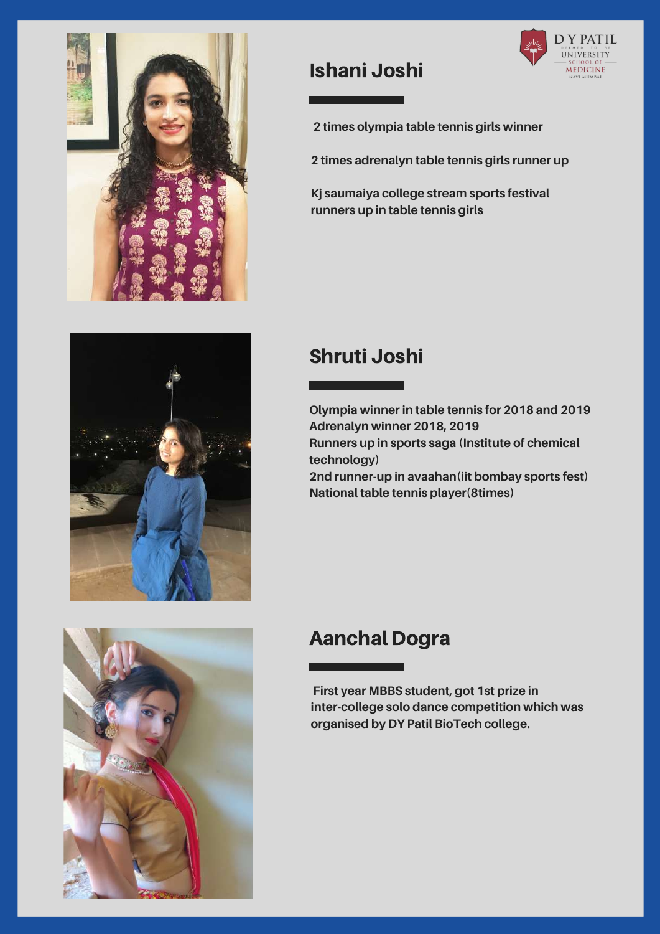





## Ishani Joshi



**2 times olympia table tennis girls winner**

**2 times adrenalyn table tennis girls runner up**

**Kj saumaiya college stream sports festival runners up in table tennis girls**

### Shruti Joshi

**Olympia winner in table tennis for 2018 and 2019 Adrenalyn winner 2018, 2019 Runners up in sports saga (Institute of chemical technology) 2nd runner-up in avaahan(iit bombay sports fest) National table tennis player(8times)**

## Aanchal Dogra

**First year MBBS student, got 1st prize in inter-college solo dance competition which was organised by DY Patil BioTech college.**